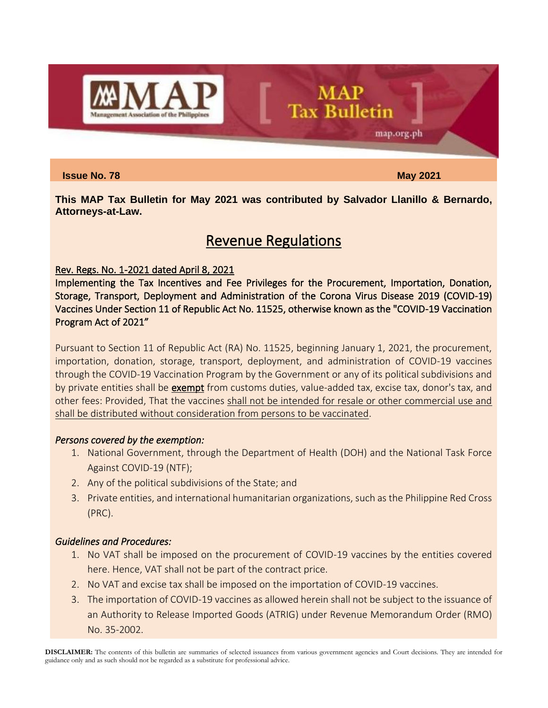

**Issue No. 78** May 2021

map.org.ph

**This MAP Tax Bulletin for May 2021 was contributed by Salvador Llanillo & Bernardo, Attorneys-at-Law.**

**MAP** 

**Tax Bulletin** 

# Revenue Regulations

# Rev. Regs. No. 1-2021 dated April 8, 2021

Implementing the Tax Incentives and Fee Privileges for the Procurement, Importation, Donation, Storage, Transport, Deployment and Administration of the Corona Virus Disease 2019 (COVID-19) Vaccines Under Section 11 of Republic Act No. 11525, otherwise known as the "COVID-19 Vaccination Program Act of 2021"

Pursuant to Section 11 of Republic Act (RA) No. 11525, beginning January 1, 2021, the procurement, importation, donation, storage, transport, deployment, and administration of COVID-19 vaccines through the COVID-19 Vaccination Program by the Government or any of its political subdivisions and by private entities shall be exempt from customs duties, value-added tax, excise tax, donor's tax, and other fees: Provided, That the vaccines shall not be intended for resale or other commercial use and shall be distributed without consideration from persons to be vaccinated.

# *Persons covered by the exemption:*

- 1. National Government, through the Department of Health (DOH) and the National Task Force Against COVID-19 (NTF);
- 2. Any of the political subdivisions of the State; and
- 3. Private entities, and international humanitarian organizations, such as the Philippine Red Cross (PRC).

# *Guidelines and Procedures:*

- 1. No VAT shall be imposed on the procurement of COVID-19 vaccines by the entities covered here. Hence, VAT shall not be part of the contract price.
- 2. No VAT and excise tax shall be imposed on the importation of COVID-19 vaccines.
- 3. The importation of COVID-19 vaccines as allowed herein shall not be subject to the issuance of an Authority to Release Imported Goods (ATRIG) under Revenue Memorandum Order (RMO) No. 35-2002.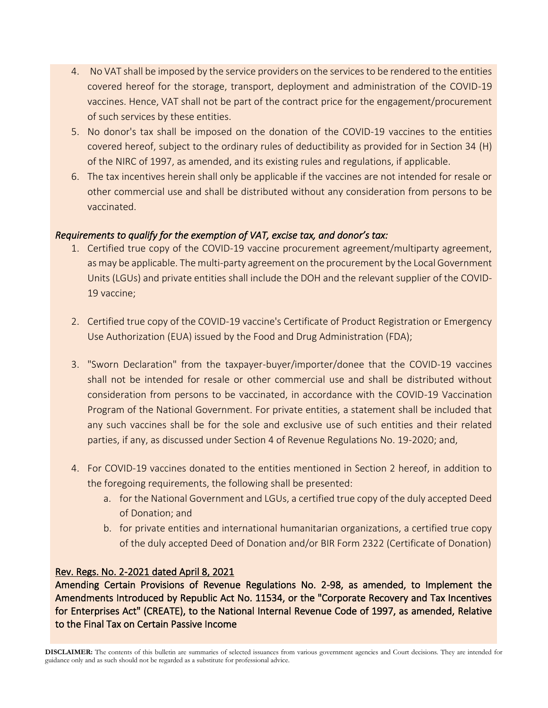- 4. No VAT shall be imposed by the service providers on the services to be rendered to the entities covered hereof for the storage, transport, deployment and administration of the COVID-19 vaccines. Hence, VAT shall not be part of the contract price for the engagement/procurement of such services by these entities.
- 5. No donor's tax shall be imposed on the donation of the COVID-19 vaccines to the entities covered hereof, subject to the ordinary rules of deductibility as provided for in Section 34 (H) of the NIRC of 1997, as amended, and its existing rules and regulations, if applicable.
- 6. The tax incentives herein shall only be applicable if the vaccines are not intended for resale or other commercial use and shall be distributed without any consideration from persons to be vaccinated.

# *Requirements to qualify for the exemption of VAT, excise tax, and donor's tax:*

- 1. Certified true copy of the COVID-19 vaccine procurement agreement/multiparty agreement, as may be applicable. The multi-party agreement on the procurement by the Local Government Units (LGUs) and private entities shall include the DOH and the relevant supplier of the COVID-19 vaccine;
- 2. Certified true copy of the COVID-19 vaccine's Certificate of Product Registration or Emergency Use Authorization (EUA) issued by the Food and Drug Administration (FDA);
- 3. "Sworn Declaration" from the taxpayer-buyer/importer/donee that the COVID-19 vaccines shall not be intended for resale or other commercial use and shall be distributed without consideration from persons to be vaccinated, in accordance with the COVID-19 Vaccination Program of the National Government. For private entities, a statement shall be included that any such vaccines shall be for the sole and exclusive use of such entities and their related parties, if any, as discussed under Section 4 of Revenue Regulations No. 19-2020; and,
- 4. For COVID-19 vaccines donated to the entities mentioned in Section 2 hereof, in addition to the foregoing requirements, the following shall be presented:
	- a. for the National Government and LGUs, a certified true copy of the duly accepted Deed of Donation; and
	- b. for private entities and international humanitarian organizations, a certified true copy of the duly accepted Deed of Donation and/or BIR Form 2322 (Certificate of Donation)

# Rev. Regs. No. 2-2021 dated April 8, 2021

Amending Certain Provisions of Revenue Regulations No. 2-98, as amended, to Implement the Amendments Introduced by Republic Act No. 11534, or the "Corporate Recovery and Tax Incentives for Enterprises Act" (CREATE), to the National Internal Revenue Code of 1997, as amended, Relative to the Final Tax on Certain Passive Income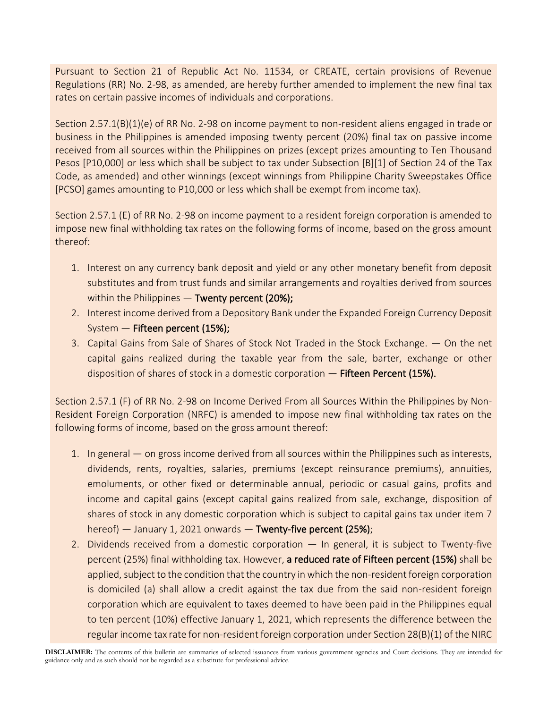Pursuant to Section 21 of Republic Act No. 11534, or CREATE, certain provisions of Revenue Regulations (RR) No. 2-98, as amended, are hereby further amended to implement the new final tax rates on certain passive incomes of individuals and corporations.

Section 2.57.1(B)(1)(e) of RR No. 2-98 on income payment to non-resident aliens engaged in trade or business in the Philippines is amended imposing twenty percent (20%) final tax on passive income received from all sources within the Philippines on prizes (except prizes amounting to Ten Thousand Pesos [P10,000] or less which shall be subject to tax under Subsection [B][1] of Section 24 of the Tax Code, as amended) and other winnings (except winnings from Philippine Charity Sweepstakes Office [PCSO] games amounting to P10,000 or less which shall be exempt from income tax).

Section 2.57.1 (E) of RR No. 2-98 on income payment to a resident foreign corporation is amended to impose new final withholding tax rates on the following forms of income, based on the gross amount thereof:

- 1. Interest on any currency bank deposit and yield or any other monetary benefit from deposit substitutes and from trust funds and similar arrangements and royalties derived from sources within the Philippines  $-$  Twenty percent (20%);
- 2. Interest income derived from a Depository Bank under the Expanded Foreign Currency Deposit System — Fifteen percent (15%);
- 3. Capital Gains from Sale of Shares of Stock Not Traded in the Stock Exchange. On the net capital gains realized during the taxable year from the sale, barter, exchange or other disposition of shares of stock in a domestic corporation  $-$  Fifteen Percent (15%).

Section 2.57.1 (F) of RR No. 2-98 on Income Derived From all Sources Within the Philippines by Non-Resident Foreign Corporation (NRFC) is amended to impose new final withholding tax rates on the following forms of income, based on the gross amount thereof:

- 1. In general on gross income derived from all sources within the Philippines such as interests, dividends, rents, royalties, salaries, premiums (except reinsurance premiums), annuities, emoluments, or other fixed or determinable annual, periodic or casual gains, profits and income and capital gains (except capital gains realized from sale, exchange, disposition of shares of stock in any domestic corporation which is subject to capital gains tax under item 7 hereof) — January 1, 2021 onwards — Twenty-five percent (25%);
- 2. Dividends received from a domestic corporation In general, it is subject to Twenty-five percent (25%) final withholding tax. However, a reduced rate of Fifteen percent (15%) shall be applied, subject to the condition that the country in which the non-resident foreign corporation is domiciled (a) shall allow a credit against the tax due from the said non-resident foreign corporation which are equivalent to taxes deemed to have been paid in the Philippines equal to ten percent (10%) effective January 1, 2021, which represents the difference between the regular income tax rate for non-resident foreign corporation under Section 28(B)(1) of the NIRC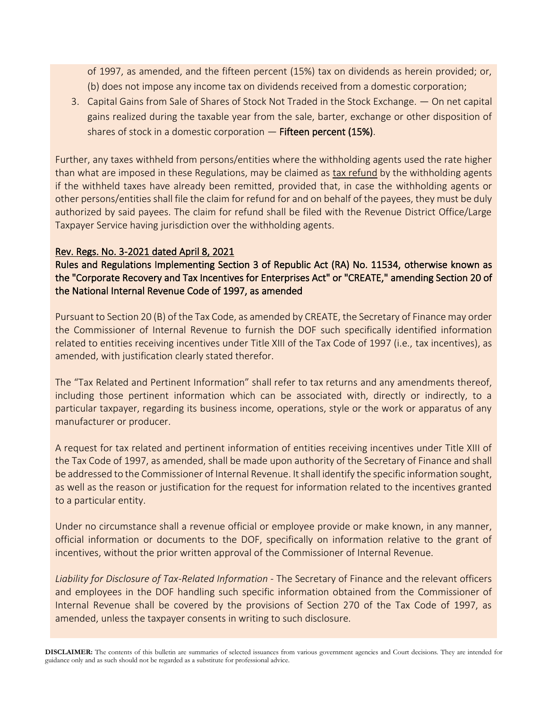of 1997, as amended, and the fifteen percent (15%) tax on dividends as herein provided; or, (b) does not impose any income tax on dividends received from a domestic corporation;

3. Capital Gains from Sale of Shares of Stock Not Traded in the Stock Exchange. — On net capital gains realized during the taxable year from the sale, barter, exchange or other disposition of shares of stock in a domestic corporation  $-$  Fifteen percent (15%).

Further, any taxes withheld from persons/entities where the withholding agents used the rate higher than what are imposed in these Regulations, may be claimed as tax refund by the withholding agents if the withheld taxes have already been remitted, provided that, in case the withholding agents or other persons/entities shall file the claim for refund for and on behalf of the payees, they must be duly authorized by said payees. The claim for refund shall be filed with the Revenue District Office/Large Taxpayer Service having jurisdiction over the withholding agents.

# Rev. Regs. No. 3-2021 dated April 8, 2021

Rules and Regulations Implementing Section 3 of Republic Act (RA) No. 11534, otherwise known as the "Corporate Recovery and Tax Incentives for Enterprises Act" or "CREATE," amending Section 20 of the National Internal Revenue Code of 1997, as amended

Pursuant to Section 20 (B) of the Tax Code, as amended by CREATE, the Secretary of Finance may order the Commissioner of Internal Revenue to furnish the DOF such specifically identified information related to entities receiving incentives under Title XIII of the Tax Code of 1997 (i.e., tax incentives), as amended, with justification clearly stated therefor.

The "Tax Related and Pertinent Information" shall refer to tax returns and any amendments thereof, including those pertinent information which can be associated with, directly or indirectly, to a particular taxpayer, regarding its business income, operations, style or the work or apparatus of any manufacturer or producer.

A request for tax related and pertinent information of entities receiving incentives under Title XIII of the Tax Code of 1997, as amended, shall be made upon authority of the Secretary of Finance and shall be addressed to the Commissioner of Internal Revenue. It shall identify the specific information sought, as well as the reason or justification for the request for information related to the incentives granted to a particular entity.

Under no circumstance shall a revenue official or employee provide or make known, in any manner, official information or documents to the DOF, specifically on information relative to the grant of incentives, without the prior written approval of the Commissioner of Internal Revenue.

*Liability for Disclosure of Tax-Related Information -* The Secretary of Finance and the relevant officers and employees in the DOF handling such specific information obtained from the Commissioner of Internal Revenue shall be covered by the provisions of Section 270 of the Tax Code of 1997, as amended, unless the taxpayer consents in writing to such disclosure.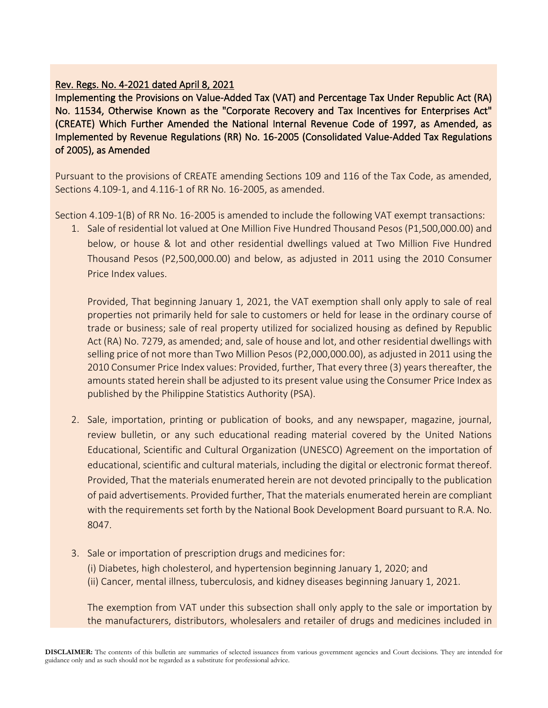# Rev. Regs. No. 4-2021 dated April 8, 2021

Implementing the Provisions on Value-Added Tax (VAT) and Percentage Tax Under Republic Act (RA) No. 11534, Otherwise Known as the "Corporate Recovery and Tax Incentives for Enterprises Act" (CREATE) Which Further Amended the National Internal Revenue Code of 1997, as Amended, as Implemented by Revenue Regulations (RR) No. 16-2005 (Consolidated Value-Added Tax Regulations of 2005), as Amended

Pursuant to the provisions of CREATE amending Sections 109 and 116 of the Tax Code, as amended, Sections 4.109-1, and 4.116-1 of RR No. 16-2005, as amended.

Section 4.109-1(B) of RR No. 16-2005 is amended to include the following VAT exempt transactions:

1. Sale of residential lot valued at One Million Five Hundred Thousand Pesos (P1,500,000.00) and below, or house & lot and other residential dwellings valued at Two Million Five Hundred Thousand Pesos (P2,500,000.00) and below, as adjusted in 2011 using the 2010 Consumer Price Index values.

Provided, That beginning January 1, 2021, the VAT exemption shall only apply to sale of real properties not primarily held for sale to customers or held for lease in the ordinary course of trade or business; sale of real property utilized for socialized housing as defined by Republic Act (RA) No. 7279, as amended; and, sale of house and lot, and other residential dwellings with selling price of not more than Two Million Pesos (P2,000,000.00), as adjusted in 2011 using the 2010 Consumer Price Index values: Provided, further, That every three (3) years thereafter, the amounts stated herein shall be adjusted to its present value using the Consumer Price Index as published by the Philippine Statistics Authority (PSA).

- 2. Sale, importation, printing or publication of books, and any newspaper, magazine, journal, review bulletin, or any such educational reading material covered by the United Nations Educational, Scientific and Cultural Organization (UNESCO) Agreement on the importation of educational, scientific and cultural materials, including the digital or electronic format thereof. Provided, That the materials enumerated herein are not devoted principally to the publication of paid advertisements. Provided further, That the materials enumerated herein are compliant with the requirements set forth by the National Book Development Board pursuant to R.A. No. 8047.
- 3. Sale or importation of prescription drugs and medicines for:
	- (i) Diabetes, high cholesterol, and hypertension beginning January 1, 2020; and
	- (ii) Cancer, mental illness, tuberculosis, and kidney diseases beginning January 1, 2021.

The exemption from VAT under this subsection shall only apply to the sale or importation by the manufacturers, distributors, wholesalers and retailer of drugs and medicines included in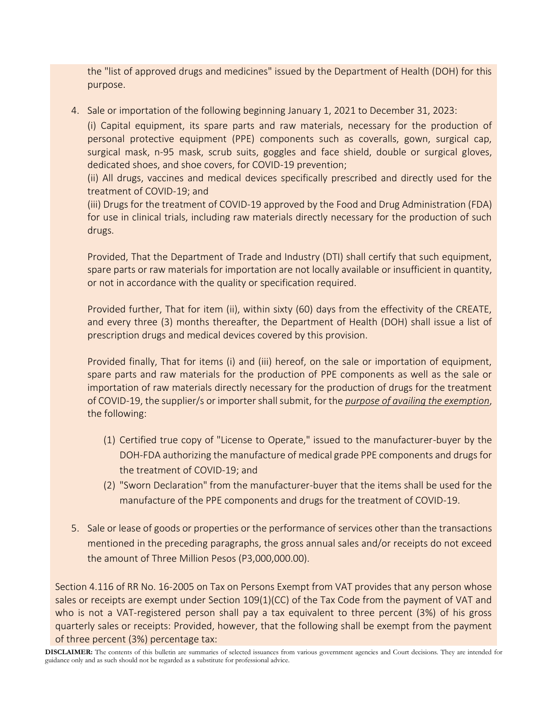the "list of approved drugs and medicines" issued by the Department of Health (DOH) for this purpose.

4. Sale or importation of the following beginning January 1, 2021 to December 31, 2023:

(i) Capital equipment, its spare parts and raw materials, necessary for the production of personal protective equipment (PPE) components such as coveralls, gown, surgical cap, surgical mask, n-95 mask, scrub suits, goggles and face shield, double or surgical gloves, dedicated shoes, and shoe covers, for COVID-19 prevention;

(ii) All drugs, vaccines and medical devices specifically prescribed and directly used for the treatment of COVID-19; and

(iii) Drugs for the treatment of COVID-19 approved by the Food and Drug Administration (FDA) for use in clinical trials, including raw materials directly necessary for the production of such drugs.

Provided, That the Department of Trade and Industry (DTI) shall certify that such equipment, spare parts or raw materials for importation are not locally available or insufficient in quantity, or not in accordance with the quality or specification required.

Provided further, That for item (ii), within sixty (60) days from the effectivity of the CREATE, and every three (3) months thereafter, the Department of Health (DOH) shall issue a list of prescription drugs and medical devices covered by this provision.

Provided finally, That for items (i) and (iii) hereof, on the sale or importation of equipment, spare parts and raw materials for the production of PPE components as well as the sale or importation of raw materials directly necessary for the production of drugs for the treatment of COVID-19, the supplier/s or importer shall submit, for the *purpose of availing the exemption*, the following:

- (1) Certified true copy of "License to Operate," issued to the manufacturer-buyer by the DOH-FDA authorizing the manufacture of medical grade PPE components and drugs for the treatment of COVID-19; and
- (2) "Sworn Declaration" from the manufacturer-buyer that the items shall be used for the manufacture of the PPE components and drugs for the treatment of COVID-19.
- 5. Sale or lease of goods or properties or the performance of services other than the transactions mentioned in the preceding paragraphs, the gross annual sales and/or receipts do not exceed the amount of Three Million Pesos (P3,000,000.00).

Section 4.116 of RR No. 16-2005 on Tax on Persons Exempt from VAT provides that any person whose sales or receipts are exempt under Section 109(1)(CC) of the Tax Code from the payment of VAT and who is not a VAT-registered person shall pay a tax equivalent to three percent (3%) of his gross quarterly sales or receipts: Provided, however, that the following shall be exempt from the payment of three percent (3%) percentage tax: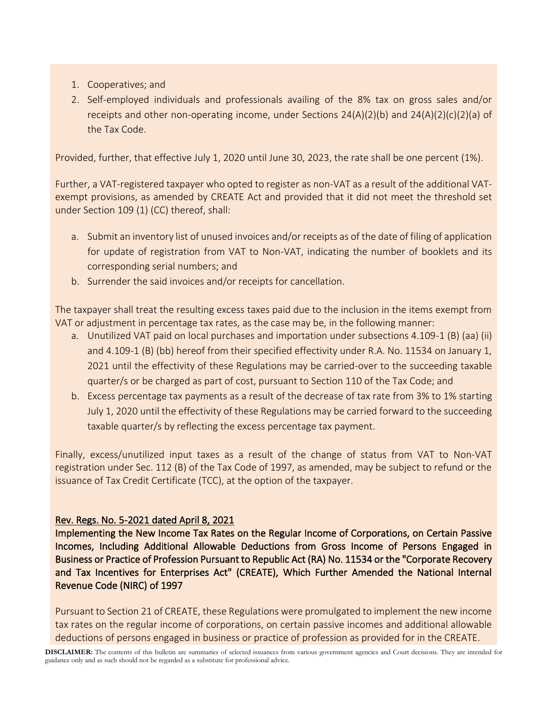- 1. Cooperatives; and
- 2. Self-employed individuals and professionals availing of the 8% tax on gross sales and/or receipts and other non-operating income, under Sections  $24(A)(2)(b)$  and  $24(A)(2)(c)(2)(a)$  of the Tax Code.

Provided, further, that effective July 1, 2020 until June 30, 2023, the rate shall be one percent (1%).

Further, a VAT-registered taxpayer who opted to register as non-VAT as a result of the additional VATexempt provisions, as amended by CREATE Act and provided that it did not meet the threshold set under Section 109 (1) (CC) thereof, shall:

- a. Submit an inventory list of unused invoices and/or receipts as of the date of filing of application for update of registration from VAT to Non-VAT, indicating the number of booklets and its corresponding serial numbers; and
- b. Surrender the said invoices and/or receipts for cancellation.

The taxpayer shall treat the resulting excess taxes paid due to the inclusion in the items exempt from VAT or adjustment in percentage tax rates, as the case may be, in the following manner:

- a. Unutilized VAT paid on local purchases and importation under subsections 4.109-1 (B) (aa) (ii) and 4.109-1 (B) (bb) hereof from their specified effectivity under R.A. No. 11534 on January 1, 2021 until the effectivity of these Regulations may be carried-over to the succeeding taxable quarter/s or be charged as part of cost, pursuant to Section 110 of the Tax Code; and
- b. Excess percentage tax payments as a result of the decrease of tax rate from 3% to 1% starting July 1, 2020 until the effectivity of these Regulations may be carried forward to the succeeding taxable quarter/s by reflecting the excess percentage tax payment.

Finally, excess/unutilized input taxes as a result of the change of status from VAT to Non-VAT registration under Sec. 112 (B) of the Tax Code of 1997, as amended, may be subject to refund or the issuance of Tax Credit Certificate (TCC), at the option of the taxpayer.

# Rev. Regs. No. 5-2021 dated April 8, 2021

Implementing the New Income Tax Rates on the Regular Income of Corporations, on Certain Passive Incomes, Including Additional Allowable Deductions from Gross Income of Persons Engaged in Business or Practice of Profession Pursuant to Republic Act (RA) No. 11534 or the "Corporate Recovery and Tax Incentives for Enterprises Act" (CREATE), Which Further Amended the National Internal Revenue Code (NIRC) of 1997

Pursuant to Section 21 of CREATE, these Regulations were promulgated to implement the new income tax rates on the regular income of corporations, on certain passive incomes and additional allowable deductions of persons engaged in business or practice of profession as provided for in the CREATE.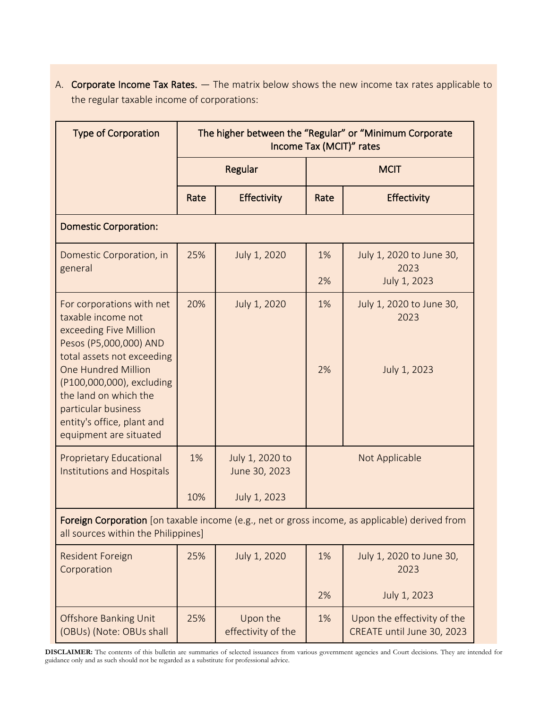A. Corporate Income Tax Rates. — The matrix below shows the new income tax rates applicable to the regular taxable income of corporations:

| <b>Type of Corporation</b>                                                                                                                                      | The higher between the "Regular" or "Minimum Corporate<br>Income Tax (MCIT)" rates |                                  |                |                                                           |  |
|-----------------------------------------------------------------------------------------------------------------------------------------------------------------|------------------------------------------------------------------------------------|----------------------------------|----------------|-----------------------------------------------------------|--|
|                                                                                                                                                                 | Regular                                                                            |                                  |                | <b>MCIT</b>                                               |  |
|                                                                                                                                                                 | Rate                                                                               | <b>Effectivity</b>               | Rate           | Effectivity                                               |  |
| <b>Domestic Corporation:</b>                                                                                                                                    |                                                                                    |                                  |                |                                                           |  |
| Domestic Corporation, in<br>general                                                                                                                             | 25%                                                                                | July 1, 2020                     | 1%             | July 1, 2020 to June 30,<br>2023                          |  |
|                                                                                                                                                                 |                                                                                    |                                  | 2%             | July 1, 2023                                              |  |
| For corporations with net<br>taxable income not<br>exceeding Five Million<br>Pesos (P5,000,000) AND<br>total assets not exceeding                               | 20%                                                                                | July 1, 2020                     | 1%             | July 1, 2020 to June 30,<br>2023                          |  |
| <b>One Hundred Million</b><br>(P100,000,000), excluding<br>the land on which the<br>particular business<br>entity's office, plant and<br>equipment are situated |                                                                                    |                                  | 2%             | July 1, 2023                                              |  |
| <b>Proprietary Educational</b><br><b>Institutions and Hospitals</b>                                                                                             | 1%                                                                                 | July 1, 2020 to<br>June 30, 2023 | Not Applicable |                                                           |  |
|                                                                                                                                                                 | 10%                                                                                | July 1, 2023                     |                |                                                           |  |
| Foreign Corporation [on taxable income (e.g., net or gross income, as applicable) derived from<br>all sources within the Philippines]                           |                                                                                    |                                  |                |                                                           |  |
| <b>Resident Foreign</b><br>Corporation                                                                                                                          | 25%                                                                                | July 1, 2020                     | 1%             | July 1, 2020 to June 30,<br>2023                          |  |
|                                                                                                                                                                 |                                                                                    |                                  | 2%             | July 1, 2023                                              |  |
| <b>Offshore Banking Unit</b><br>(OBUs) (Note: OBUs shall                                                                                                        | 25%                                                                                | Upon the<br>effectivity of the   | 1%             | Upon the effectivity of the<br>CREATE until June 30, 2023 |  |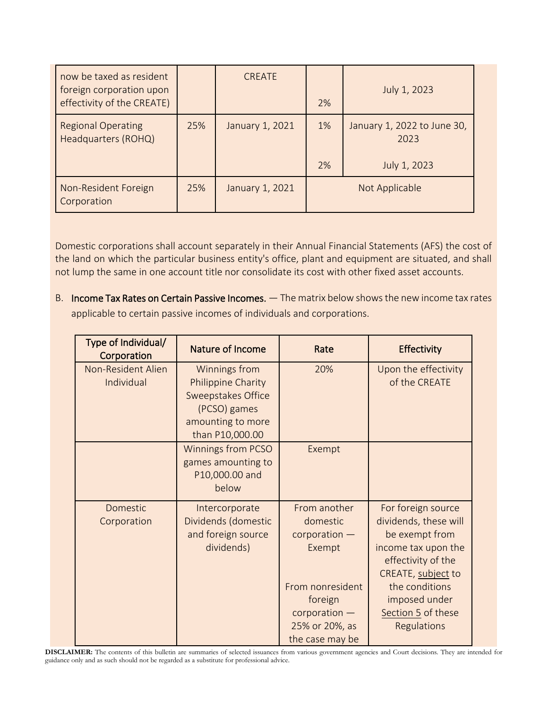| now be taxed as resident<br>foreign corporation upon<br>effectivity of the CREATE) |     | <b>CREATE</b>   | 2% | July 1, 2023                        |
|------------------------------------------------------------------------------------|-----|-----------------|----|-------------------------------------|
| <b>Regional Operating</b><br>Headquarters (ROHQ)                                   | 25% | January 1, 2021 | 1% | January 1, 2022 to June 30,<br>2023 |
|                                                                                    |     |                 | 2% | July 1, 2023                        |
| Non-Resident Foreign<br>Corporation                                                | 25% | January 1, 2021 |    | Not Applicable                      |

Domestic corporations shall account separately in their Annual Financial Statements (AFS) the cost of the land on which the particular business entity's office, plant and equipment are situated, and shall not lump the same in one account title nor consolidate its cost with other fixed asset accounts.

B. Income Tax Rates on Certain Passive Incomes. — The matrix below shows the new income tax rates applicable to certain passive incomes of individuals and corporations.

| Type of Individual/<br>Corporation | Nature of Income                                                                                                                | Rate                                                                              | Effectivity                                                                                                                      |
|------------------------------------|---------------------------------------------------------------------------------------------------------------------------------|-----------------------------------------------------------------------------------|----------------------------------------------------------------------------------------------------------------------------------|
| Non-Resident Alien<br>Individual   | Winnings from<br><b>Philippine Charity</b><br><b>Sweepstakes Office</b><br>(PCSO) games<br>amounting to more<br>than P10,000.00 | 20%                                                                               | Upon the effectivity<br>of the CREATE                                                                                            |
|                                    | <b>Winnings from PCSO</b><br>games amounting to<br>P10,000.00 and<br>below                                                      | Exempt                                                                            |                                                                                                                                  |
| Domestic<br>Corporation            | Intercorporate<br>Dividends (domestic<br>and foreign source<br>dividends)                                                       | From another<br>domestic<br>$corporation$ –<br>Exempt                             | For foreign source<br>dividends, these will<br>be exempt from<br>income tax upon the<br>effectivity of the<br>CREATE, subject to |
|                                    |                                                                                                                                 | From nonresident<br>foreign<br>corporation -<br>25% or 20%, as<br>the case may be | the conditions<br>imposed under<br>Section 5 of these<br>Regulations                                                             |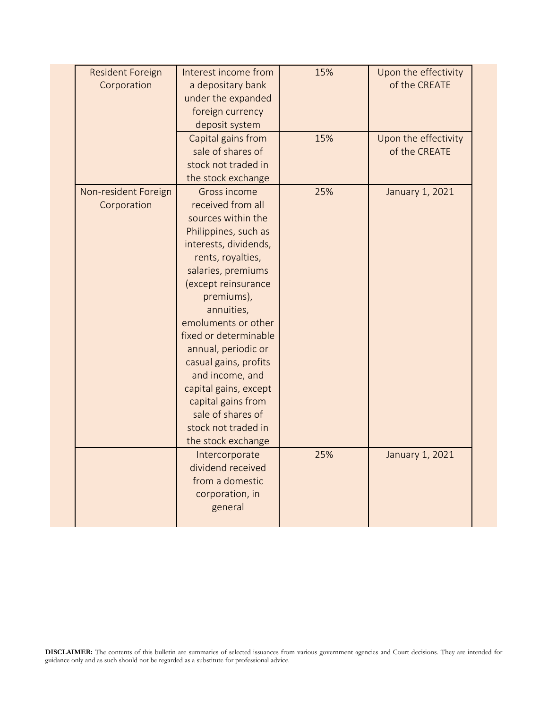| <b>Resident Foreign</b><br>Corporation | Interest income from<br>a depositary bank<br>under the expanded<br>foreign currency<br>deposit system                                                                                                                                                                                                                                                                                                                                      | 15% | Upon the effectivity<br>of the CREATE |  |
|----------------------------------------|--------------------------------------------------------------------------------------------------------------------------------------------------------------------------------------------------------------------------------------------------------------------------------------------------------------------------------------------------------------------------------------------------------------------------------------------|-----|---------------------------------------|--|
|                                        | Capital gains from<br>sale of shares of<br>stock not traded in<br>the stock exchange                                                                                                                                                                                                                                                                                                                                                       | 15% | Upon the effectivity<br>of the CREATE |  |
| Non-resident Foreign<br>Corporation    | Gross income<br>received from all<br>sources within the<br>Philippines, such as<br>interests, dividends,<br>rents, royalties,<br>salaries, premiums<br>(except reinsurance<br>premiums),<br>annuities,<br>emoluments or other<br>fixed or determinable<br>annual, periodic or<br>casual gains, profits<br>and income, and<br>capital gains, except<br>capital gains from<br>sale of shares of<br>stock not traded in<br>the stock exchange | 25% | January 1, 2021                       |  |
|                                        | Intercorporate<br>dividend received<br>from a domestic<br>corporation, in<br>general                                                                                                                                                                                                                                                                                                                                                       | 25% | January 1, 2021                       |  |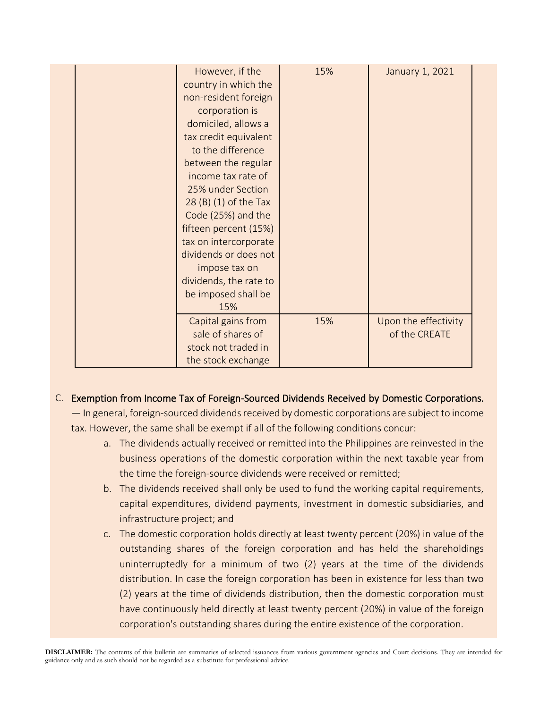| However, if the<br>country in which the<br>non-resident foreign<br>corporation is<br>domiciled, allows a<br>tax credit equivalent<br>to the difference<br>between the regular<br>income tax rate of<br>25% under Section<br>$28(B)(1)$ of the Tax<br>Code (25%) and the<br>fifteen percent (15%)<br>tax on intercorporate<br>dividends or does not<br>impose tax on<br>dividends, the rate to<br>be imposed shall be<br>15% | 15% | January 1, 2021                       |
|-----------------------------------------------------------------------------------------------------------------------------------------------------------------------------------------------------------------------------------------------------------------------------------------------------------------------------------------------------------------------------------------------------------------------------|-----|---------------------------------------|
| Capital gains from<br>sale of shares of<br>stock not traded in<br>the stock exchange                                                                                                                                                                                                                                                                                                                                        | 15% | Upon the effectivity<br>of the CREATE |

# C. Exemption from Income Tax of Foreign-Sourced Dividends Received by Domestic Corporations.

— In general, foreign-sourced dividends received by domestic corporations are subject to income tax. However, the same shall be exempt if all of the following conditions concur:

- a. The dividends actually received or remitted into the Philippines are reinvested in the business operations of the domestic corporation within the next taxable year from the time the foreign-source dividends were received or remitted;
- b. The dividends received shall only be used to fund the working capital requirements, capital expenditures, dividend payments, investment in domestic subsidiaries, and infrastructure project; and
- c. The domestic corporation holds directly at least twenty percent (20%) in value of the outstanding shares of the foreign corporation and has held the shareholdings uninterruptedly for a minimum of two (2) years at the time of the dividends distribution. In case the foreign corporation has been in existence for less than two (2) years at the time of dividends distribution, then the domestic corporation must have continuously held directly at least twenty percent (20%) in value of the foreign corporation's outstanding shares during the entire existence of the corporation.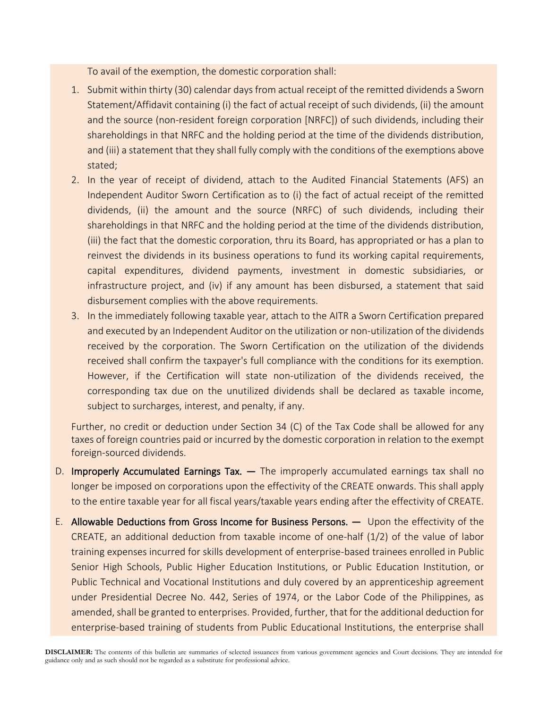To avail of the exemption, the domestic corporation shall:

- 1. Submit within thirty (30) calendar days from actual receipt of the remitted dividends a Sworn Statement/Affidavit containing (i) the fact of actual receipt of such dividends, (ii) the amount and the source (non-resident foreign corporation [NRFC]) of such dividends, including their shareholdings in that NRFC and the holding period at the time of the dividends distribution, and (iii) a statement that they shall fully comply with the conditions of the exemptions above stated;
- 2. In the year of receipt of dividend, attach to the Audited Financial Statements (AFS) an Independent Auditor Sworn Certification as to (i) the fact of actual receipt of the remitted dividends, (ii) the amount and the source (NRFC) of such dividends, including their shareholdings in that NRFC and the holding period at the time of the dividends distribution, (iii) the fact that the domestic corporation, thru its Board, has appropriated or has a plan to reinvest the dividends in its business operations to fund its working capital requirements, capital expenditures, dividend payments, investment in domestic subsidiaries, or infrastructure project, and (iv) if any amount has been disbursed, a statement that said disbursement complies with the above requirements.
- 3. In the immediately following taxable year, attach to the AITR a Sworn Certification prepared and executed by an Independent Auditor on the utilization or non-utilization of the dividends received by the corporation. The Sworn Certification on the utilization of the dividends received shall confirm the taxpayer's full compliance with the conditions for its exemption. However, if the Certification will state non-utilization of the dividends received, the corresponding tax due on the unutilized dividends shall be declared as taxable income, subject to surcharges, interest, and penalty, if any.

Further, no credit or deduction under Section 34 (C) of the Tax Code shall be allowed for any taxes of foreign countries paid or incurred by the domestic corporation in relation to the exempt foreign-sourced dividends.

- D. Improperly Accumulated Earnings Tax. The improperly accumulated earnings tax shall no longer be imposed on corporations upon the effectivity of the CREATE onwards. This shall apply to the entire taxable year for all fiscal years/taxable years ending after the effectivity of CREATE.
- E. Allowable Deductions from Gross Income for Business Persons. Upon the effectivity of the CREATE, an additional deduction from taxable income of one-half (1/2) of the value of labor training expenses incurred for skills development of enterprise-based trainees enrolled in Public Senior High Schools, Public Higher Education Institutions, or Public Education Institution, or Public Technical and Vocational Institutions and duly covered by an apprenticeship agreement under Presidential Decree No. 442, Series of 1974, or the Labor Code of the Philippines, as amended, shall be granted to enterprises. Provided, further, that for the additional deduction for enterprise-based training of students from Public Educational Institutions, the enterprise shall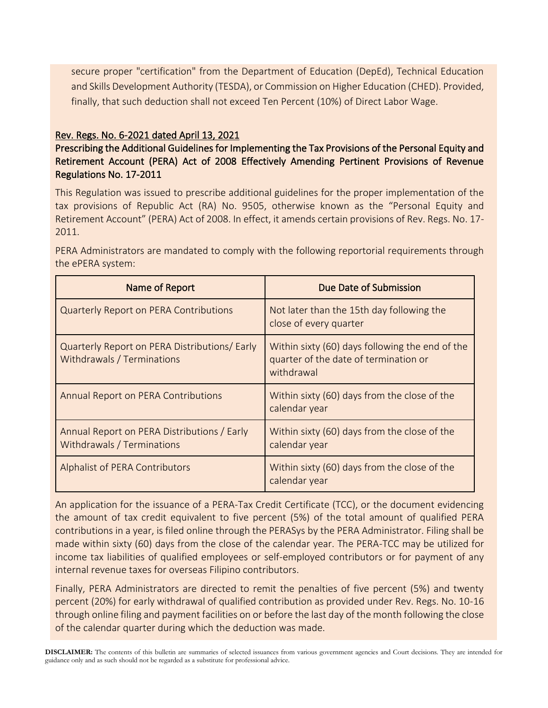secure proper "certification" from the Department of Education (DepEd), Technical Education and Skills Development Authority (TESDA), or Commission on Higher Education (CHED). Provided, finally, that such deduction shall not exceed Ten Percent (10%) of Direct Labor Wage.

# Rev. Regs. No. 6-2021 dated April 13, 2021

Prescribing the Additional Guidelines for Implementing the Tax Provisions of the Personal Equity and Retirement Account (PERA) Act of 2008 Effectively Amending Pertinent Provisions of Revenue Regulations No. 17-2011

This Regulation was issued to prescribe additional guidelines for the proper implementation of the tax provisions of Republic Act (RA) No. 9505, otherwise known as the "Personal Equity and Retirement Account" (PERA) Act of 2008. In effect, it amends certain provisions of Rev. Regs. No. 17- 2011.

PERA Administrators are mandated to comply with the following reportorial requirements through the ePERA system:

| Name of Report                                                              | Due Date of Submission                                                                                 |
|-----------------------------------------------------------------------------|--------------------------------------------------------------------------------------------------------|
| <b>Quarterly Report on PERA Contributions</b>                               | Not later than the 15th day following the<br>close of every quarter                                    |
| Quarterly Report on PERA Distributions/ Early<br>Withdrawals / Terminations | Within sixty (60) days following the end of the<br>quarter of the date of termination or<br>withdrawal |
| <b>Annual Report on PERA Contributions</b>                                  | Within sixty (60) days from the close of the<br>calendar year                                          |
| Annual Report on PERA Distributions / Early<br>Withdrawals / Terminations   | Within sixty (60) days from the close of the<br>calendar year                                          |
| Alphalist of PERA Contributors                                              | Within sixty (60) days from the close of the<br>calendar year                                          |

An application for the issuance of a PERA-Tax Credit Certificate (TCC), or the document evidencing the amount of tax credit equivalent to five percent (5%) of the total amount of qualified PERA contributions in a year, is filed online through the PERASys by the PERA Administrator. Filing shall be made within sixty (60) days from the close of the calendar year. The PERA-TCC may be utilized for income tax liabilities of qualified employees or self-employed contributors or for payment of any internal revenue taxes for overseas Filipino contributors.

Finally, PERA Administrators are directed to remit the penalties of five percent (5%) and twenty percent (20%) for early withdrawal of qualified contribution as provided under Rev. Regs. No. 10-16 through online filing and payment facilities on or before the last day of the month following the close of the calendar quarter during which the deduction was made.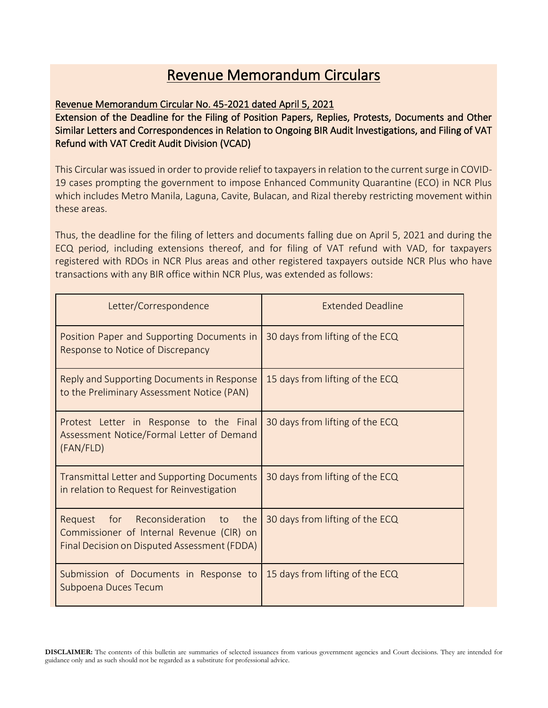# Revenue Memorandum Circulars

### Revenue Memorandum Circular No. 45-2021 dated April 5, 2021

Extension of the Deadline for the Filing of Position Papers, Replies, Protests, Documents and Other Similar Letters and Correspondences in Relation to Ongoing BIR Audit lnvestigations, and Filing of VAT Refund with VAT Credit Audit Division (VCAD)

This Circular was issued in order to provide relief to taxpayers in relation to the current surge in COVID-19 cases prompting the government to impose Enhanced Community Quarantine (ECO) in NCR Plus which includes Metro Manila, Laguna, Cavite, Bulacan, and Rizal thereby restricting movement within these areas.

Thus, the deadline for the filing of letters and documents falling due on April 5, 2021 and during the ECQ period, including extensions thereof, and for filing of VAT refund with VAD, for taxpayers registered with RDOs in NCR Plus areas and other registered taxpayers outside NCR Plus who have transactions with any BIR office within NCR Plus, was extended as follows:

| Letter/Correspondence                                                                                                                 | <b>Extended Deadline</b>        |
|---------------------------------------------------------------------------------------------------------------------------------------|---------------------------------|
| Position Paper and Supporting Documents in<br>Response to Notice of Discrepancy                                                       | 30 days from lifting of the ECQ |
| Reply and Supporting Documents in Response<br>to the Preliminary Assessment Notice (PAN)                                              | 15 days from lifting of the ECQ |
| Protest Letter in Response to the Final<br>Assessment Notice/Formal Letter of Demand<br>(FAN/FLD)                                     | 30 days from lifting of the ECQ |
| <b>Transmittal Letter and Supporting Documents</b><br>in relation to Request for Reinvestigation                                      | 30 days from lifting of the ECQ |
| Reconsideration to the<br>Request<br>for<br>Commissioner of Internal Revenue (CIR) on<br>Final Decision on Disputed Assessment (FDDA) | 30 days from lifting of the ECQ |
| Submission of Documents in Response to<br>Subpoena Duces Tecum                                                                        | 15 days from lifting of the ECQ |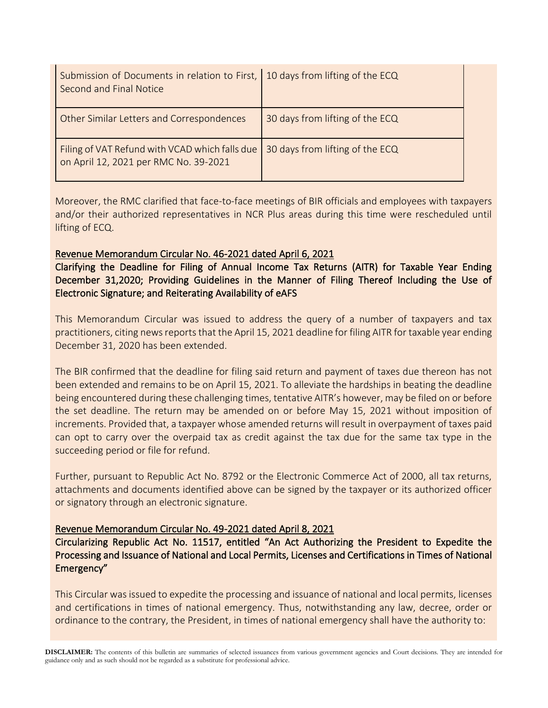| Submission of Documents in relation to First,   10 days from lifting of the ECQ<br>Second and Final Notice |                                 |
|------------------------------------------------------------------------------------------------------------|---------------------------------|
| Other Similar Letters and Correspondences                                                                  | 30 days from lifting of the ECQ |
| Filing of VAT Refund with VCAD which falls due<br>on April 12, 2021 per RMC No. 39-2021                    | 30 days from lifting of the ECQ |

Moreover, the RMC clarified that face-to-face meetings of BIR officials and employees with taxpayers and/or their authorized representatives in NCR Plus areas during this time were rescheduled until lifting of ECQ.

# Revenue Memorandum Circular No. 46-2021 dated April 6, 2021

Clarifying the Deadline for Filing of Annual Income Tax Returns (AITR) for Taxable Year Ending December 31,2020; Providing Guidelines in the Manner of Filing Thereof Including the Use of Electronic Signature; and Reiterating Availability of eAFS

This Memorandum Circular was issued to address the query of a number of taxpayers and tax practitioners, citing news reports that the April 15, 2021 deadline for filing AITR for taxable year ending December 31, 2020 has been extended.

The BIR confirmed that the deadline for filing said return and payment of taxes due thereon has not been extended and remains to be on April 15, 2021. To alleviate the hardships in beating the deadline being encountered during these challenging times, tentative AITR's however, may be filed on or before the set deadline. The return may be amended on or before May 15, 2021 without imposition of increments. Provided that, a taxpayer whose amended returns will result in overpayment of taxes paid can opt to carry over the overpaid tax as credit against the tax due for the same tax type in the succeeding period or file for refund.

Further, pursuant to Republic Act No. 8792 or the Electronic Commerce Act of 2000, all tax returns, attachments and documents identified above can be signed by the taxpayer or its authorized officer or signatory through an electronic signature.

#### Revenue Memorandum Circular No. 49-2021 dated April 8, 2021

Circularizing Republic Act No. 11517, entitled "An Act Authorizing the President to Expedite the Processing and Issuance of National and Local Permits, Licenses and Certifications in Times of National Emergency"

This Circular was issued to expedite the processing and issuance of national and local permits, licenses and certifications in times of national emergency. Thus, notwithstanding any law, decree, order or ordinance to the contrary, the President, in times of national emergency shall have the authority to: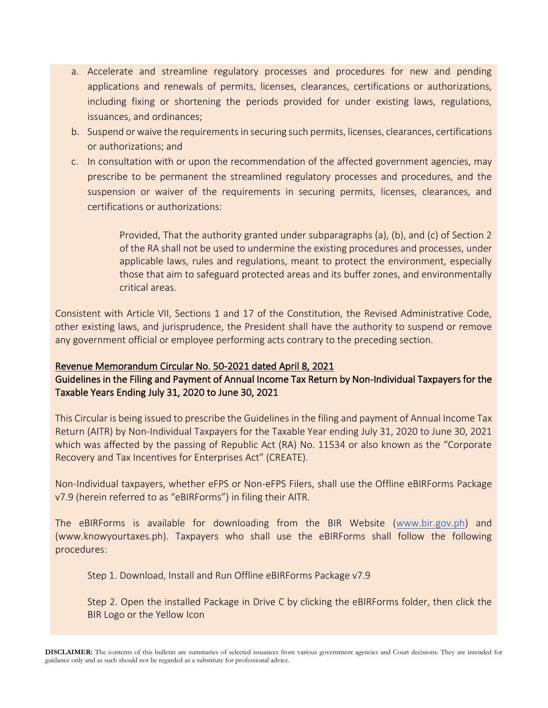- a. Accelerate and streamline regulatory processes and procedures for new and pending applications and renewals of permits, licenses, clearances, certifications or authorizations, including fixing or shortening the periods provided for under existing laws, regulations, issuances, and ordinances;
- b. Suspend or waive the requirements in securing such permits, licenses, clearances, certifications or authorizations; and
- c. In consultation with or upon the recommendation of the affected government agencies, may prescribe to be permanent the streamlined regulatory processes and procedures, and the suspension or waiver of the requirements in securing permits, licenses, clearances, and certifications or authorizations:

Provided, That the authority granted under subparagraphs (a), (b), and (c) of Section 2 of the RA shall not be used to undermine the existing procedures and processes, under applicable laws, rules and regulations, meant to protect the environment, especially those that aim to safeguard protected areas and its buffer zones, and environmentally critical areas.

Consistent with Article VII, Sections 1 and 17 of the Constitution, the Revised Administrative Code, other existing laws, and jurisprudence, the President shall have the authority to suspend or remove any government official or employee performing acts contrary to the preceding section.

# Revenue Memorandum Circular No. 50-2021 dated April 8, 2021

Guidelines in the Filing and Payment of Annual Income Tax Return by Non-Individual Taxpayers for the Taxable Years Ending July 31, 2020 to June 30, 2021

This Circular is being issued to prescribe the Guidelines in the filing and payment of Annual Income Tax Return (AITR) by Non-Individual Taxpayers for the Taxable Year ending July 31, 2020 to June 30, 2021 which was affected by the passing of Republic Act (RA) No. 11534 or also known as the "Corporate" Recovery and Tax Incentives for Enterprises Act" (CREATE).

Non-Individual taxpayers, whether eFPS or Non-eFPS Filers, shall use the Offline eBIRForms Package v7.9 (herein referred to as "eBIRForms") in filing their AITR.

The eBIRForms is available for downloading from the BIR Website [\(www.bir.gov.ph\)](http://www.bir.gov.ph/) and (www.knowyourtaxes.ph). Taxpayers who shall use the eBIRForms shall follow the following procedures:

Step 1. Download, Install and Run Offline eBIRForms Package v7.9

Step 2. Open the installed Package in Drive C by clicking the eBIRForms folder, then click the BIR Logo or the Yellow Icon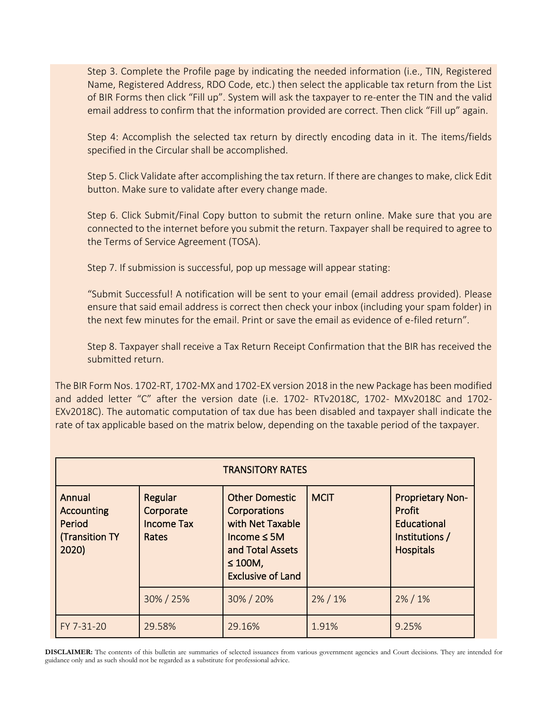Step 3. Complete the Profile page by indicating the needed information (i.e., TIN, Registered Name, Registered Address, RDO Code, etc.) then select the applicable tax return from the List of BIR Forms then click "Fill up". System will ask the taxpayer to re-enter the TIN and the valid email address to confirm that the information provided are correct. Then click "Fill up" again.

Step 4: Accomplish the selected tax return by directly encoding data in it. The items/fields specified in the Circular shall be accomplished.

Step 5. Click Validate after accomplishing the tax return. If there are changes to make, click Edit button. Make sure to validate after every change made.

Step 6. Click Submit/Final Copy button to submit the return online. Make sure that you are connected to the internet before you submit the return. Taxpayer shall be required to agree to the Terms of Service Agreement (TOSA).

Step 7. If submission is successful, pop up message will appear stating:

"Submit Successful! A notification will be sent to your email (email address provided). Please ensure that said email address is correct then check your inbox (including your spam folder) in the next few minutes for the email. Print or save the email as evidence of e-filed return".

Step 8. Taxpayer shall receive a Tax Return Receipt Confirmation that the BIR has received the submitted return.

The BIR Form Nos. 1702-RT, 1702-MX and 1702-EX version 2018 in the new Package has been modified and added letter "C" after the version date (i.e. 1702- RTv2018C, 1702- MXv2018C and 1702- EXv2018C). The automatic computation of tax due has been disabled and taxpayer shall indicate the rate of tax applicable based on the matrix below, depending on the taxable period of the taxpayer.

| <b>TRANSITORY RATES</b>                                          |                                                    |                                                                                                                                                |             |                                                                                        |  |
|------------------------------------------------------------------|----------------------------------------------------|------------------------------------------------------------------------------------------------------------------------------------------------|-------------|----------------------------------------------------------------------------------------|--|
| Annual<br><b>Accounting</b><br>Period<br>(Transition TY<br>2020) | Regular<br>Corporate<br><b>Income Tax</b><br>Rates | <b>Other Domestic</b><br>Corporations<br>with Net Taxable<br>Income $\leq$ 5M<br>and Total Assets<br>$\leq 100M$ ,<br><b>Exclusive of Land</b> | <b>MCIT</b> | <b>Proprietary Non-</b><br>Profit<br>Educational<br>Institutions /<br><b>Hospitals</b> |  |
|                                                                  | 30% / 25%                                          | 30% / 20%                                                                                                                                      | $2\% / 1\%$ | $2\% / 1\%$                                                                            |  |
| FY 7-31-20                                                       | 29.58%                                             | 29.16%                                                                                                                                         | 1.91%       | 9.25%                                                                                  |  |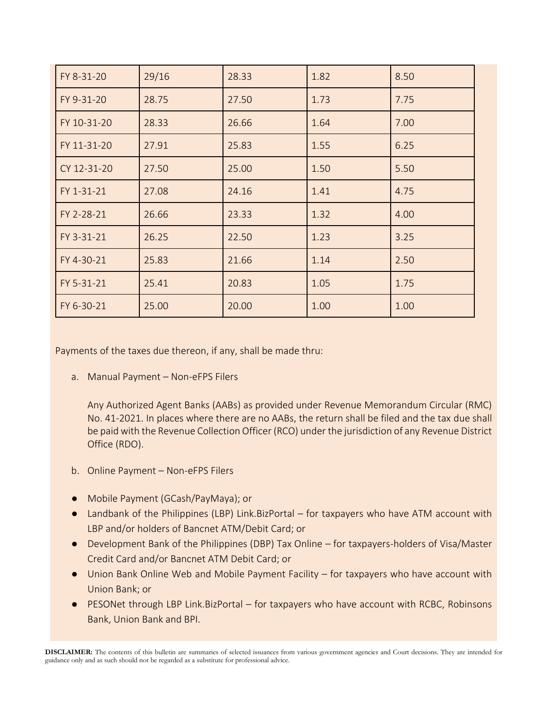| FY 8-31-20  | 29/16 | 28.33 | 1.82 | 8.50 |
|-------------|-------|-------|------|------|
| FY 9-31-20  | 28.75 | 27.50 | 1.73 | 7.75 |
| FY 10-31-20 | 28.33 | 26.66 | 1.64 | 7.00 |
| FY 11-31-20 | 27.91 | 25.83 | 1.55 | 6.25 |
| CY 12-31-20 | 27.50 | 25.00 | 1.50 | 5.50 |
| FY 1-31-21  | 27.08 | 24.16 | 1.41 | 4.75 |
| FY 2-28-21  | 26.66 | 23.33 | 1.32 | 4.00 |
| FY 3-31-21  | 26.25 | 22.50 | 1.23 | 3.25 |
| FY 4-30-21  | 25.83 | 21.66 | 1.14 | 2.50 |
| FY 5-31-21  | 25.41 | 20.83 | 1.05 | 1.75 |
| FY 6-30-21  | 25.00 | 20.00 | 1.00 | 1.00 |

Payments of the taxes due thereon, if any, shall be made thru:

a. Manual Payment – Non-eFPS Filers

Any Authorized Agent Banks (AABs) as provided under Revenue Memorandum Circular (RMC) No. 41-2021. In places where there are no AABs, the return shall be filed and the tax due shall be paid with the Revenue Collection Officer (RCO) under the jurisdiction of any Revenue District Office (RDO).

- b. Online Payment Non-eFPS Filers
- Mobile Payment (GCash/PayMaya); or
- Landbank of the Philippines (LBP) Link.BizPortal for taxpayers who have ATM account with LBP and/or holders of Bancnet ATM/Debit Card; or
- Development Bank of the Philippines (DBP) Tax Online for taxpayers-holders of Visa/Master Credit Card and/or Bancnet ATM Debit Card; or
- Union Bank Online Web and Mobile Payment Facility for taxpayers who have account with Union Bank; or
- PESONet through LBP Link. BizPortal for taxpayers who have account with RCBC, Robinsons Bank, Union Bank and BPI.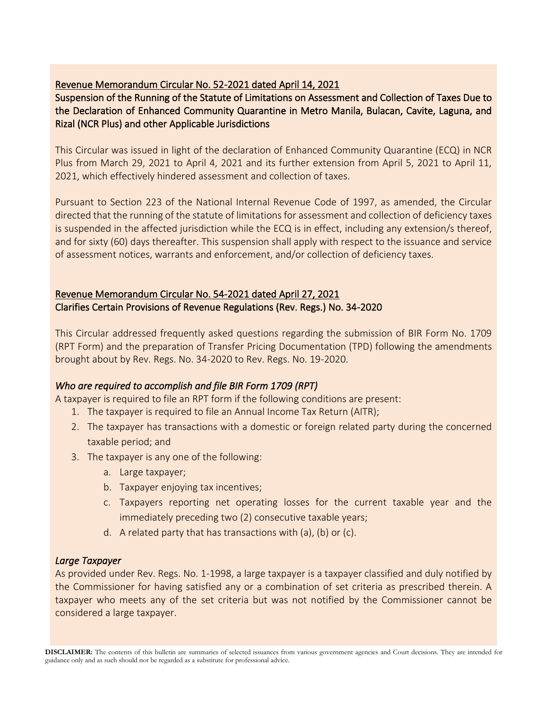# Revenue Memorandum Circular No. 52-2021 dated April 14, 2021

Suspension of the Running of the Statute of Limitations on Assessment and Collection of Taxes Due to the Declaration of Enhanced Community Quarantine in Metro Manila, Bulacan, Cavite, Laguna, and Rizal (NCR Plus) and other Applicable Jurisdictions

This Circular was issued in light of the declaration of Enhanced Community Quarantine (ECQ) in NCR Plus from March 29, 2021 to April 4, 2021 and its further extension from April 5, 2021 to April 11, 2021, which effectively hindered assessment and collection of taxes.

Pursuant to Section 223 of the National Internal Revenue Code of 1997, as amended, the Circular directed that the running of the statute of limitations for assessment and collection of deficiency taxes is suspended in the affected jurisdiction while the ECQ is in effect, including any extension/s thereof, and for sixty (60) days thereafter. This suspension shall apply with respect to the issuance and service of assessment notices, warrants and enforcement, and/or collection of deficiency taxes.

# Revenue Memorandum Circular No. 54-2021 dated April 27, 2021 Clarifies Certain Provisions of Revenue Regulations (Rev. Regs.) No. 34-2020

This Circular addressed frequently asked questions regarding the submission of BIR Form No. 1709 (RPT Form) and the preparation of Transfer Pricing Documentation (TPD) following the amendments brought about by Rev. Regs. No. 34-2020 to Rev. Regs. No. 19-2020.

# *Who are required to accomplish and file BIR Form 1709 (RPT)*

A taxpayer is required to file an RPT form if the following conditions are present:

- 1. The taxpayer is required to file an Annual Income Tax Return (AITR);
- 2. The taxpayer has transactions with a domestic or foreign related party during the concerned taxable period; and
- 3. The taxpayer is any one of the following:
	- a. Large taxpayer;
	- b. Taxpayer enjoying tax incentives;
	- c. Taxpayers reporting net operating losses for the current taxable year and the immediately preceding two (2) consecutive taxable years;
	- d. A related party that has transactions with (a), (b) or (c).

# *Large Taxpayer*

As provided under Rev. Regs. No. 1-1998, a large taxpayer is a taxpayer classified and duly notified by the Commissioner for having satisfied any or a combination of set criteria as prescribed therein. A taxpayer who meets any of the set criteria but was not notified by the Commissioner cannot be considered a large taxpayer.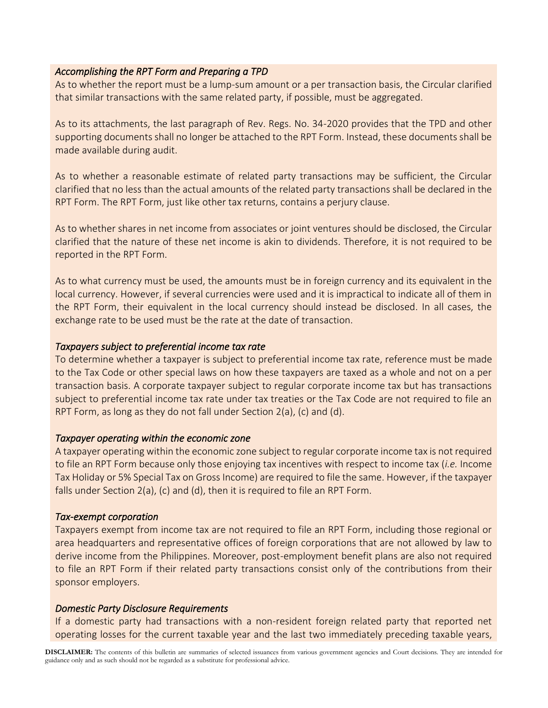#### *Accomplishing the RPT Form and Preparing a TPD*

As to whether the report must be a lump-sum amount or a per transaction basis, the Circular clarified that similar transactions with the same related party, if possible, must be aggregated.

As to its attachments, the last paragraph of Rev. Regs. No. 34-2020 provides that the TPD and other supporting documents shall no longer be attached to the RPT Form. Instead, these documents shall be made available during audit.

As to whether a reasonable estimate of related party transactions may be sufficient, the Circular clarified that no less than the actual amounts of the related party transactions shall be declared in the RPT Form. The RPT Form, just like other tax returns, contains a perjury clause.

As to whether shares in net income from associates or joint ventures should be disclosed, the Circular clarified that the nature of these net income is akin to dividends. Therefore, it is not required to be reported in the RPT Form.

As to what currency must be used, the amounts must be in foreign currency and its equivalent in the local currency. However, if several currencies were used and it is impractical to indicate all of them in the RPT Form, their equivalent in the local currency should instead be disclosed. In all cases, the exchange rate to be used must be the rate at the date of transaction.

#### *Taxpayers subject to preferential income tax rate*

To determine whether a taxpayer is subject to preferential income tax rate, reference must be made to the Tax Code or other special laws on how these taxpayers are taxed as a whole and not on a per transaction basis. A corporate taxpayer subject to regular corporate income tax but has transactions subject to preferential income tax rate under tax treaties or the Tax Code are not required to file an RPT Form, as long as they do not fall under Section 2(a), (c) and (d).

#### *Taxpayer operating within the economic zone*

A taxpayer operating within the economic zone subject to regular corporate income tax is not required to file an RPT Form because only those enjoying tax incentives with respect to income tax (*i.e.* Income Tax Holiday or 5% Special Tax on Gross Income) are required to file the same. However, if the taxpayer falls under Section 2(a), (c) and (d), then it is required to file an RPT Form.

#### *Tax-exempt corporation*

Taxpayers exempt from income tax are not required to file an RPT Form, including those regional or area headquarters and representative offices of foreign corporations that are not allowed by law to derive income from the Philippines. Moreover, post-employment benefit plans are also not required to file an RPT Form if their related party transactions consist only of the contributions from their sponsor employers.

# *Domestic Party Disclosure Requirements*

If a domestic party had transactions with a non-resident foreign related party that reported net operating losses for the current taxable year and the last two immediately preceding taxable years,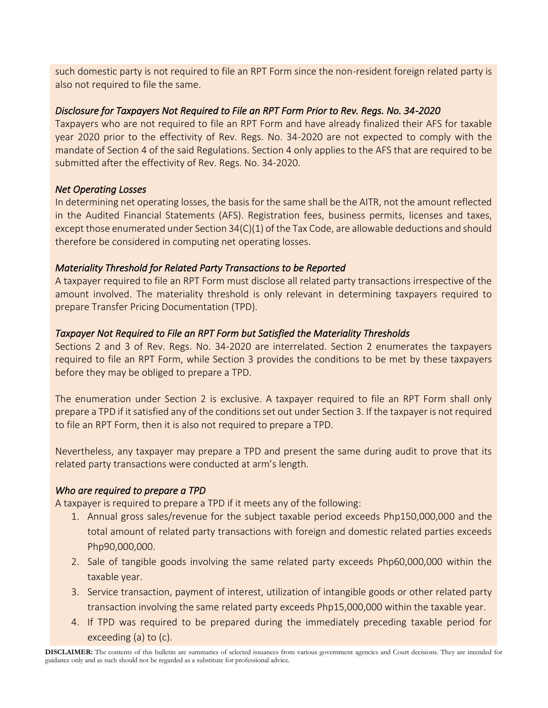such domestic party is not required to file an RPT Form since the non-resident foreign related party is also not required to file the same.

# *Disclosure for Taxpayers Not Required to File an RPT Form Prior to Rev. Regs. No. 34-2020*

Taxpayers who are not required to file an RPT Form and have already finalized their AFS for taxable year 2020 prior to the effectivity of Rev. Regs. No. 34-2020 are not expected to comply with the mandate of Section 4 of the said Regulations. Section 4 only applies to the AFS that are required to be submitted after the effectivity of Rev. Regs. No. 34-2020.

# *Net Operating Losses*

In determining net operating losses, the basis for the same shall be the AITR, not the amount reflected in the Audited Financial Statements (AFS). Registration fees, business permits, licenses and taxes, except those enumerated under Section 34(C)(1) of the Tax Code, are allowable deductions and should therefore be considered in computing net operating losses.

# *Materiality Threshold for Related Party Transactions to be Reported*

A taxpayer required to file an RPT Form must disclose all related party transactions irrespective of the amount involved. The materiality threshold is only relevant in determining taxpayers required to prepare Transfer Pricing Documentation (TPD).

# *Taxpayer Not Required to File an RPT Form but Satisfied the Materiality Thresholds*

Sections 2 and 3 of Rev. Regs. No. 34-2020 are interrelated. Section 2 enumerates the taxpayers required to file an RPT Form, while Section 3 provides the conditions to be met by these taxpayers before they may be obliged to prepare a TPD.

The enumeration under Section 2 is exclusive. A taxpayer required to file an RPT Form shall only prepare a TPD if it satisfied any of the conditions set out under Section 3. If the taxpayer is not required to file an RPT Form, then it is also not required to prepare a TPD.

Nevertheless, any taxpayer may prepare a TPD and present the same during audit to prove that its related party transactions were conducted at arm's length.

# *Who are required to prepare a TPD*

A taxpayer is required to prepare a TPD if it meets any of the following:

- 1. Annual gross sales/revenue for the subject taxable period exceeds Php150,000,000 and the total amount of related party transactions with foreign and domestic related parties exceeds Php90,000,000.
- 2. Sale of tangible goods involving the same related party exceeds Php60,000,000 within the taxable year.
- 3. Service transaction, payment of interest, utilization of intangible goods or other related party transaction involving the same related party exceeds Php15,000,000 within the taxable year.
- 4. If TPD was required to be prepared during the immediately preceding taxable period for exceeding (a) to (c).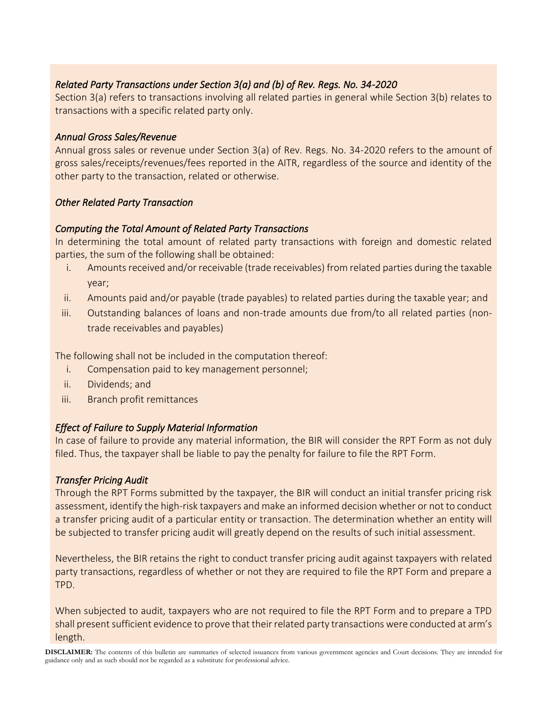# *Related Party Transactions under Section 3(a) and (b) of Rev. Regs. No. 34-2020*

Section 3(a) refers to transactions involving all related parties in general while Section 3(b) relates to transactions with a specific related party only.

# *Annual Gross Sales/Revenue*

Annual gross sales or revenue under Section 3(a) of Rev. Regs. No. 34-2020 refers to the amount of gross sales/receipts/revenues/fees reported in the AITR, regardless of the source and identity of the other party to the transaction, related or otherwise.

# *Other Related Party Transaction*

# *Computing the Total Amount of Related Party Transactions*

In determining the total amount of related party transactions with foreign and domestic related parties, the sum of the following shall be obtained:

- i. Amounts received and/or receivable (trade receivables) from related parties during the taxable year;
- ii. Amounts paid and/or payable (trade payables) to related parties during the taxable year; and
- iii. Outstanding balances of loans and non-trade amounts due from/to all related parties (nontrade receivables and payables)

The following shall not be included in the computation thereof:

- i. Compensation paid to key management personnel;
- ii. Dividends; and
- iii. Branch profit remittances

# *Effect of Failure to Supply Material Information*

In case of failure to provide any material information, the BIR will consider the RPT Form as not duly filed. Thus, the taxpayer shall be liable to pay the penalty for failure to file the RPT Form.

# *Transfer Pricing Audit*

Through the RPT Forms submitted by the taxpayer, the BIR will conduct an initial transfer pricing risk assessment, identify the high-risk taxpayers and make an informed decision whether or not to conduct a transfer pricing audit of a particular entity or transaction. The determination whether an entity will be subjected to transfer pricing audit will greatly depend on the results of such initial assessment.

Nevertheless, the BIR retains the right to conduct transfer pricing audit against taxpayers with related party transactions, regardless of whether or not they are required to file the RPT Form and prepare a TPD.

When subjected to audit, taxpayers who are not required to file the RPT Form and to prepare a TPD shall present sufficient evidence to prove that their related party transactions were conducted at arm's length.